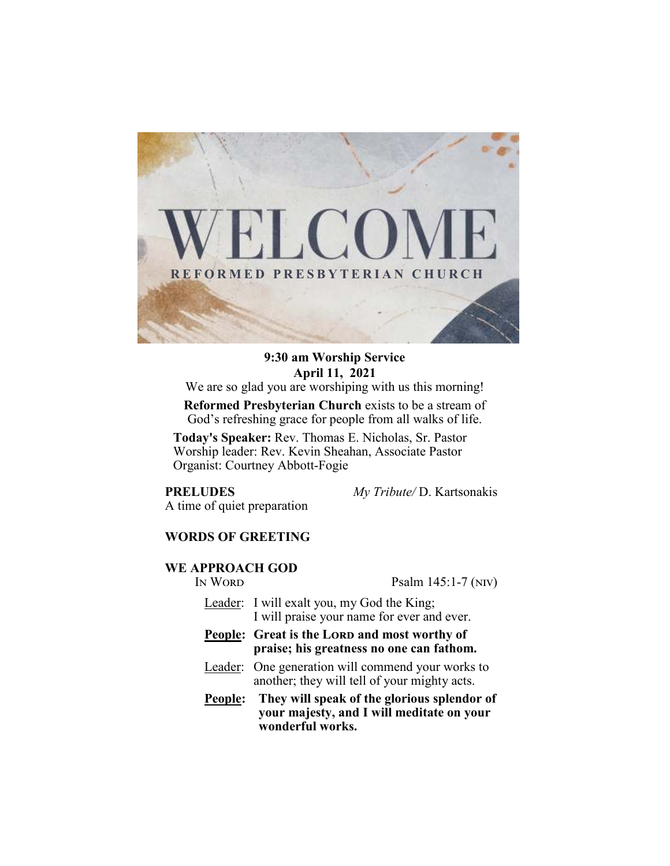

**9:30 am Worship Service April 11, 2021**  We are so glad you are worshiping with us this morning!

**Reformed Presbyterian Church** exists to be a stream of God's refreshing grace for people from all walks of life.

**Today's Speaker:** Rev. Thomas E. Nicholas, Sr. Pastor Worship leader: Rev. Kevin Sheahan, Associate Pastor Organist: Courtney Abbott-Fogie

**PRELUDES** *My Tribute/* D. Kartsonakis

A time of quiet preparation

# **WORDS OF GREETING**

#### **WE APPROACH GOD**

| IN WORD | Psalm $145:1-7$ (NIV)                                                                                        |
|---------|--------------------------------------------------------------------------------------------------------------|
|         | Leader: I will exalt you, my God the King;<br>I will praise your name for ever and ever.                     |
|         | People: Great is the LORD and most worthy of<br>praise; his greatness no one can fathom.                     |
|         | Leader: One generation will commend your works to<br>another; they will tell of your mighty acts.            |
| People: | They will speak of the glorious splendor of<br>your majesty, and I will meditate on your<br>wonderful works. |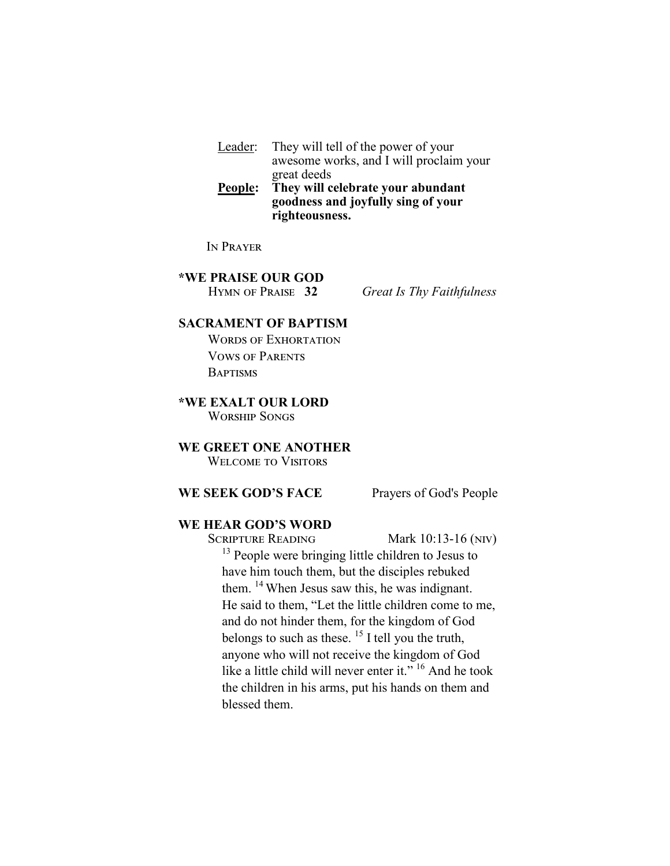- Leader: They will tell of the power of your awesome works, and I will proclaim your great deeds
- **People: They will celebrate your abundant goodness and joyfully sing of your righteousness.**

IN PRAYER

#### **\*WE PRAISE OUR GOD**

HYMN OF PRAISE 32 *Great Is Thy Faithfulness* 

# **SACRAMENT OF BAPTISM**

**WORDS OF EXHORTATION VOWS OF PARENTS** BAPTISMS

**\*WE EXALT OUR LORD WORSHIP SONGS** 

**WE GREET ONE ANOTHER**  WELCOME TO VISITORS

#### WE SEEK GOD'S FACE Prayers of God's People

# **WE HEAR GOD'S WORD**

**Mark 10:13-16 (NIV)** 

<sup>13</sup> People were bringing little children to Jesus to have him touch them, but the disciples rebuked them. <sup>14</sup> When Jesus saw this, he was indignant. He said to them, "Let the little children come to me, and do not hinder them, for the kingdom of God belongs to such as these.  $15$  I tell you the truth, anyone who will not receive the kingdom of God like a little child will never enter it."<sup>16</sup> And he took the children in his arms, put his hands on them and blessed them.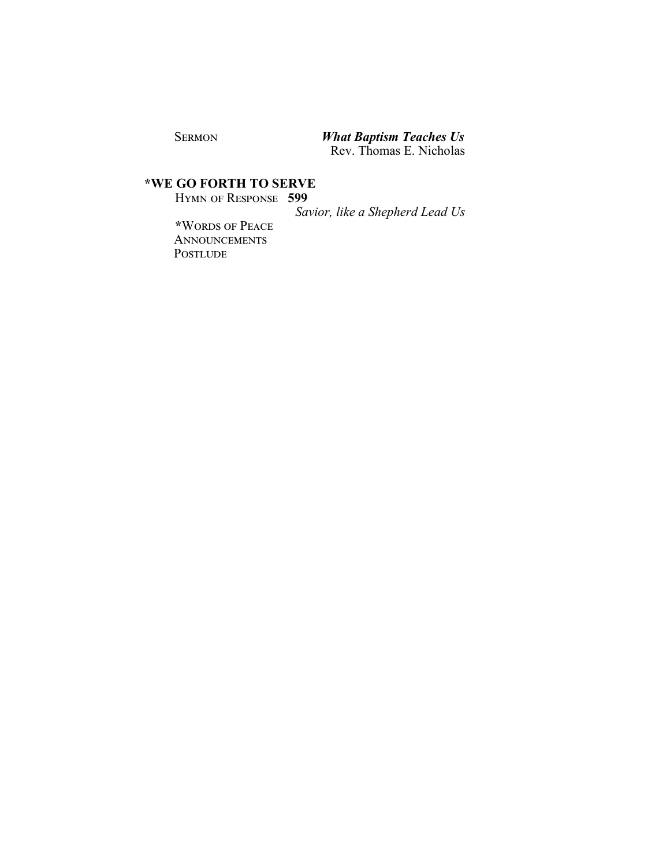**SERMON** *What Baptism Teaches Us* Rev. Thomas E. Nicholas

## **\*WE GO FORTH TO SERVE**

HYMN OF RESPONSE 599

*Savior, like a Shepherd Lead Us*

\*WORDS OF PEACE **ANNOUNCEMENTS** POSTLUDE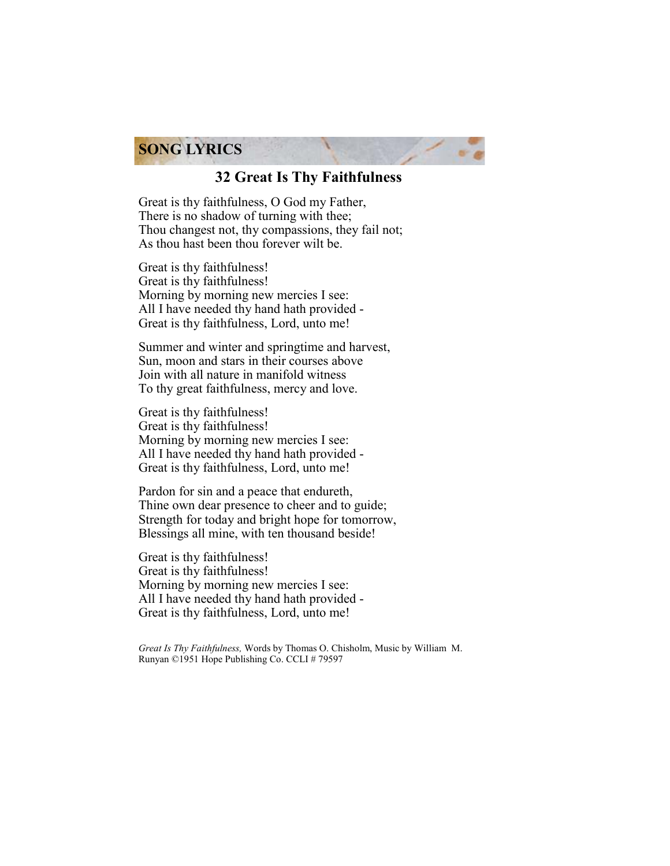# **SONG LYRICS**

# **32 Great Is Thy Faithfulness**

Great is thy faithfulness, O God my Father, There is no shadow of turning with thee; Thou changest not, thy compassions, they fail not; As thou hast been thou forever wilt be.

Great is thy faithfulness! Great is thy faithfulness! Morning by morning new mercies I see: All I have needed thy hand hath provided - Great is thy faithfulness, Lord, unto me!

Summer and winter and springtime and harvest, Sun, moon and stars in their courses above Join with all nature in manifold witness To thy great faithfulness, mercy and love.

Great is thy faithfulness! Great is thy faithfulness! Morning by morning new mercies I see: All I have needed thy hand hath provided - Great is thy faithfulness, Lord, unto me!

Pardon for sin and a peace that endureth, Thine own dear presence to cheer and to guide; Strength for today and bright hope for tomorrow, Blessings all mine, with ten thousand beside!

Great is thy faithfulness! Great is thy faithfulness! Morning by morning new mercies I see: All I have needed thy hand hath provided - Great is thy faithfulness, Lord, unto me!

*Great Is Thy Faithfulness,* Words by Thomas O. Chisholm, Music by William M. Runyan ©1951 Hope Publishing Co. CCLI # 79597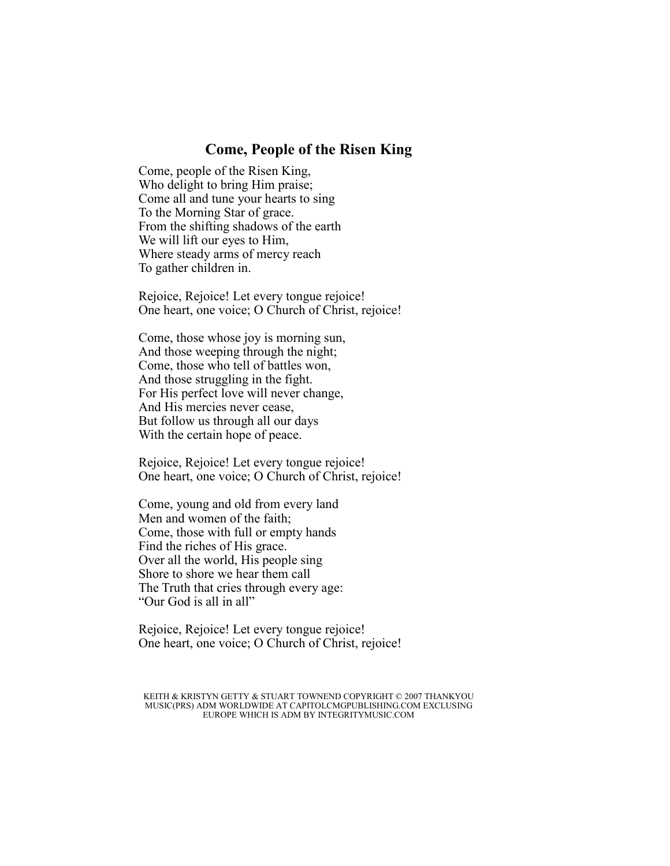#### **Come, People of the Risen King**

Come, people of the Risen King, Who delight to bring Him praise; Come all and tune your hearts to sing To the Morning Star of grace. From the shifting shadows of the earth We will lift our eyes to Him, Where steady arms of mercy reach To gather children in.

Rejoice, Rejoice! Let every tongue rejoice! One heart, one voice; O Church of Christ, rejoice!

Come, those whose joy is morning sun, And those weeping through the night; Come, those who tell of battles won, And those struggling in the fight. For His perfect love will never change, And His mercies never cease, But follow us through all our days With the certain hope of peace.

Rejoice, Rejoice! Let every tongue rejoice! One heart, one voice; O Church of Christ, rejoice!

Come, young and old from every land Men and women of the faith; Come, those with full or empty hands Find the riches of His grace. Over all the world, His people sing Shore to shore we hear them call The Truth that cries through every age: "Our God is all in all"

Rejoice, Rejoice! Let every tongue rejoice! One heart, one voice; O Church of Christ, rejoice!

KEITH & KRISTYN GETTY & STUART TOWNEND COPYRIGHT © 2007 THANKYOU MUSIC(PRS) ADM WORLDWIDE AT CAPITOLCMGPUBLISHING.COM EXCLUSING EUROPE WHICH IS ADM BY INTEGRITYMUSIC.COM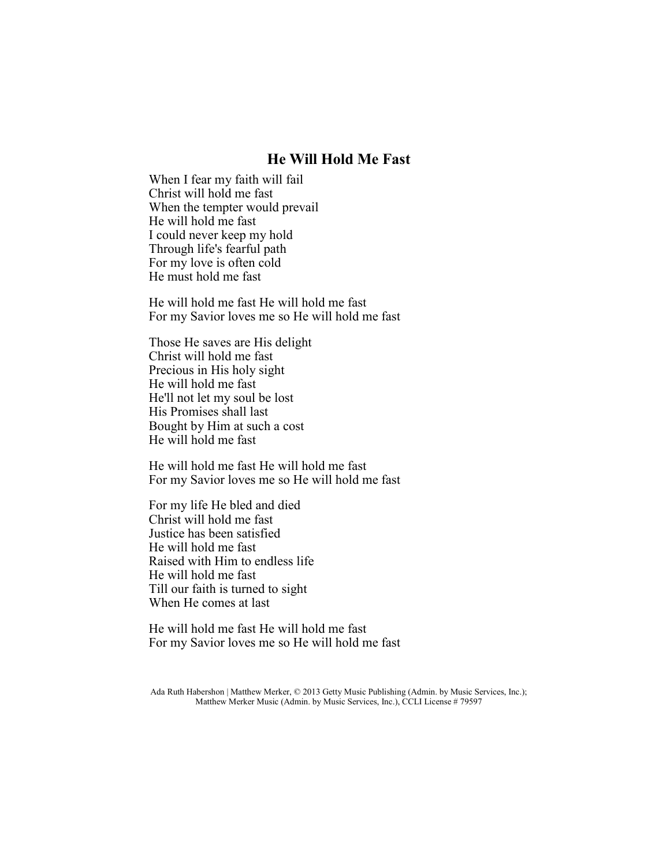## **He Will Hold Me Fast**

When I fear my faith will fail Christ will hold me fast When the tempter would prevail He will hold me fast I could never keep my hold Through life's fearful path For my love is often cold He must hold me fast

He will hold me fast He will hold me fast For my Savior loves me so He will hold me fast

Those He saves are His delight Christ will hold me fast Precious in His holy sight He will hold me fast He'll not let my soul be lost His Promises shall last Bought by Him at such a cost He will hold me fast

He will hold me fast He will hold me fast For my Savior loves me so He will hold me fast

For my life He bled and died Christ will hold me fast Justice has been satisfied He will hold me fast Raised with Him to endless life He will hold me fast Till our faith is turned to sight When He comes at last

He will hold me fast He will hold me fast For my Savior loves me so He will hold me fast

Ada Ruth Habershon | Matthew Merker, © 2013 Getty Music Publishing (Admin. by Music Services, Inc.); Matthew Merker Music (Admin. by Music Services, Inc.), CCLI License # 79597